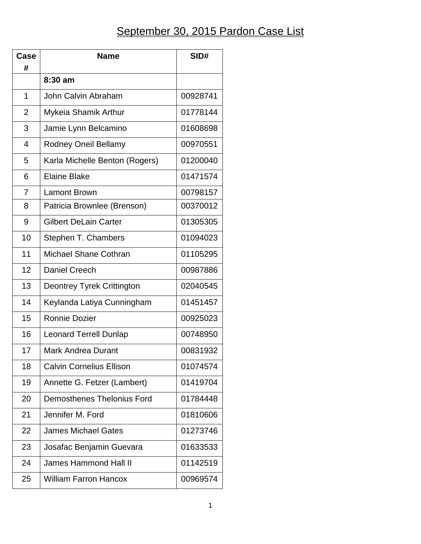## September 30, 2015 Pardon Case List

| Case           | <b>Name</b>                       | SID#     |
|----------------|-----------------------------------|----------|
| #              |                                   |          |
|                | 8:30 am                           |          |
| 1              | John Calvin Abraham               | 00928741 |
| $\overline{2}$ | Mykeia Shamik Arthur              | 01778144 |
| 3              | Jamie Lynn Belcamino              | 01608698 |
| 4              | <b>Rodney Oneil Bellamy</b>       | 00970551 |
| 5              | Karla Michelle Benton (Rogers)    | 01200040 |
| 6              | <b>Elaine Blake</b>               | 01471574 |
| $\overline{7}$ | <b>Lamont Brown</b>               | 00798157 |
| 8              | Patricia Brownlee (Brenson)       | 00370012 |
| 9              | <b>Gilbert DeLain Carter</b>      | 01305305 |
| 10             | Stephen T. Chambers               | 01094023 |
| 11             | <b>Michael Shane Cothran</b>      | 01105295 |
| 12             | <b>Daniel Creech</b>              | 00987886 |
| 13             | Deontrey Tyrek Crittington        | 02040545 |
| 14             | Keylanda Latiya Cunningham        | 01451457 |
| 15             | Ronnie Dozier                     | 00925023 |
| 16             | <b>Leonard Terrell Dunlap</b>     | 00748950 |
| 17             | <b>Mark Andrea Durant</b>         | 00831932 |
| 18             | <b>Calvin Cornelius Ellison</b>   | 01074574 |
| 19             | Annette G. Fetzer (Lambert)       | 01419704 |
| 20             | <b>Demosthenes Thelonius Ford</b> | 01784448 |
| 21             | Jennifer M. Ford                  | 01810606 |
| 22             | <b>James Michael Gates</b>        | 01273746 |
| 23             | Josafac Benjamin Guevara          | 01633533 |
| 24             | <b>James Hammond Hall II</b>      | 01142519 |
| 25             | <b>William Farron Hancox</b>      | 00969574 |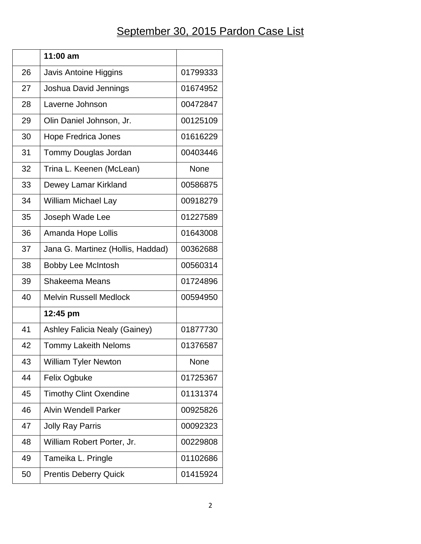## September 30, 2015 Pardon Case List

|    | 11:00 am                          |          |
|----|-----------------------------------|----------|
| 26 | Javis Antoine Higgins             | 01799333 |
| 27 | Joshua David Jennings             | 01674952 |
| 28 | Laverne Johnson                   | 00472847 |
| 29 | Olin Daniel Johnson, Jr.          | 00125109 |
| 30 | <b>Hope Fredrica Jones</b>        | 01616229 |
| 31 | Tommy Douglas Jordan              | 00403446 |
| 32 | Trina L. Keenen (McLean)          | None     |
| 33 | Dewey Lamar Kirkland              | 00586875 |
| 34 | <b>William Michael Lay</b>        | 00918279 |
| 35 | Joseph Wade Lee                   | 01227589 |
| 36 | Amanda Hope Lollis                | 01643008 |
| 37 | Jana G. Martinez (Hollis, Haddad) | 00362688 |
| 38 | <b>Bobby Lee McIntosh</b>         | 00560314 |
| 39 | Shakeema Means                    | 01724896 |
| 40 | <b>Melvin Russell Medlock</b>     | 00594950 |
|    | 12:45 pm                          |          |
| 41 | Ashley Falicia Nealy (Gainey)     | 01877730 |
| 42 | <b>Tommy Lakeith Neloms</b>       | 01376587 |
| 43 | <b>William Tyler Newton</b>       | None     |
| 44 | Felix Ogbuke                      | 01725367 |
| 45 | <b>Timothy Clint Oxendine</b>     | 01131374 |
| 46 | <b>Alvin Wendell Parker</b>       | 00925826 |
| 47 | <b>Jolly Ray Parris</b>           | 00092323 |
| 48 | William Robert Porter, Jr.        | 00229808 |
| 49 | Tameika L. Pringle                | 01102686 |
| 50 | <b>Prentis Deberry Quick</b>      | 01415924 |